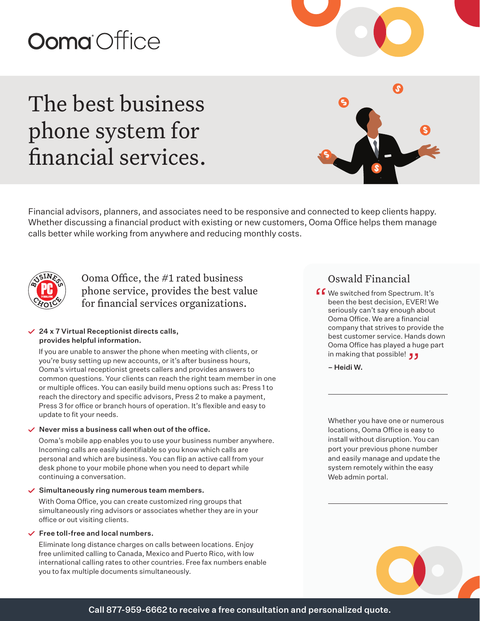# **Ooma** Office

## The best business phone system for financial services.

Financial advisors, planners, and associates need to be responsive and connected to keep clients happy. Whether discussing a financial product with existing or new customers, Ooma Office helps them manage calls better while working from anywhere and reducing monthly costs.



Ooma Office, the #1 rated business phone service, provides the best value for financial services organizations.

#### $\vee$  24 x 7 Virtual Receptionist directs calls, provides helpful information.

If you are unable to answer the phone when meeting with clients, or you're busy setting up new accounts, or it's after business hours, Ooma's virtual receptionist greets callers and provides answers to common questions. Your clients can reach the right team member in one or multiple offices. You can easily build menu options such as: Press 1 to reach the directory and specific advisors, Press 2 to make a payment, Press 3 for office or branch hours of operation. It's flexible and easy to update to fit your needs.

#### $\vee$  Never miss a business call when out of the office.

Ooma's mobile app enables you to use your business number anywhere. Incoming calls are easily identifiable so you know which calls are personal and which are business. You can flip an active call from your desk phone to your mobile phone when you need to depart while continuing a conversation.

#### $\checkmark$  Simultaneously ring numerous team members.

With Ooma Office, you can create customized ring groups that simultaneously ring advisors or associates whether they are in your office or out visiting clients.

#### $\checkmark$  Free toll-free and local numbers.

Eliminate long distance charges on calls between locations. Enjoy free unlimited calling to Canada, Mexico and Puerto Rico, with low international calling rates to other countries. Free fax numbers enable you to fax multiple documents simultaneously.

### Oswald Financial

**f 6** We switched from Spectrum. It's<br>been the best decision, EVER! We<br>seriously can't say enough about been the best decision, EVER! We seriously can't say enough about Ooma Office. We are a financial company that strives to provide the best customer service. Hands down Ooma Office has played a huge part ooma Office has played a hu<br>**رو** in making that possible!

– Heidi W.

Whether you have one or numerous locations, Ooma Office is easy to install without disruption. You can port your previous phone number and easily manage and update the system remotely within the easy Web admin portal.